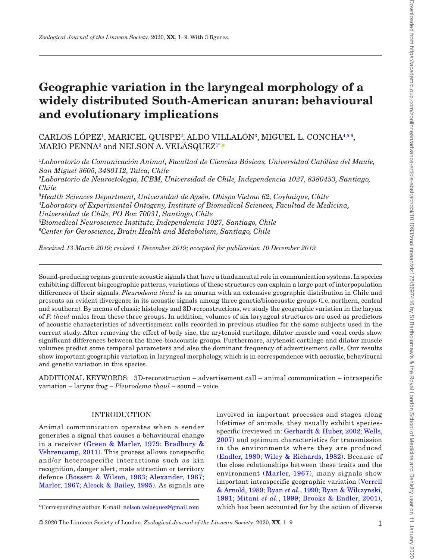# **Geographic variation in the laryngeal morphology of a widely distributed South-American anuran: behavioural and evolutionary implications**

CARLOS LOPEZ<sup>[1](#page-0-0)</sup>, MARICEL QUISPE<sup>2</sup>, ALDO VILLALON<sup>[3](#page-0-2)</sup>, MIGUEL L. CONCHA<sup>[4](#page-0-3),[5](#page-0-4)[,6](#page-0-5)</sup>,  $\rm MARIO\ PENNA^{2}$  $\rm MARIO\ PENNA^{2}$  $\rm MARIO\ PENNA^{2}$  and  $\rm NELSON$  A.  $\rm VELASQUEZ^{1*}$ 

<span id="page-0-0"></span>1 *Laboratorio de Comunicación Animal, Facultad de Ciencias Básicas, Universidad Católica del Maule, San Miguel 3605, 3480112, Talca, Chile*

<span id="page-0-1"></span>2 *Laboratorio de Neuroetología, ICBM, Universidad de Chile, Independencia 1027, 8380453, Santiago, Chile*

<span id="page-0-4"></span><span id="page-0-3"></span><span id="page-0-2"></span> *Health Sciences Department, Universidad de Aysén. Obispo Vielmo 62, Coyhaique, Chile Laboratory of Experimental Ontogeny, Institute of Biomedical Sciences, Facultad de Medicina, Universidad de Chile, PO Box 70031, Santiago, Chile Biomedical Neuroscience Institute, Independencia 1027, Santiago, Chile Center for Geroscience, Brain Health and Metabolism, Santiago, Chile*

<span id="page-0-5"></span>*Received 13 March 2019; revised 1 December 2019; accepted for publication 10 December 2019*

Sound-producing organs generate acoustic signals that have a fundamental role in communication systems. In species exhibiting different biogeographic patterns, variations of these structures can explain a large part of interpopulation differences of their signals. *Pleurodema thaul* is an anuran with an extensive geographic distribution in Chile and presents an evident divergence in its acoustic signals among three genetic/bioacoustic groups (i.e. northern, central and southern). By means of classic histology and 3D-reconstructions, we study the geographic variation in the larynx of *P. thaul* males from these three groups. In addition, volumes of six laryngeal structures are used as predictors of acoustic characteristics of advertisement calls recorded in previous studies for the same subjects used in the current study. After removing the effect of body size, the arytenoid cartilage, dilator muscle and vocal cords show significant differences between the three bioacoustic groups. Furthermore, arytenoid cartilage and dilator muscle volumes predict some temporal parameters and also the dominant frequency of advertisement calls. Our results show important geographic variation in laryngeal morphology, which is in correspondence with acoustic, behavioural and genetic variation in this species.

ADDITIONAL KEYWORDS: 3D-reconstruction – advertisement call – animal communication – intraspecific variation – larynx frog – *Pleurodema thaul* – sound – voice.

# INTRODUCTION

Animal communication operates when a sender generates a signal that causes a behavioural change in a receiver ([Green & Marler, 1979;](#page-6-0) [Bradbury &](#page-6-1) [Vehrencamp, 2011](#page-6-1)). This process allows conspecific and/or heterospecific interactions such as kin recognition, danger alert, mate attraction or territory defence [\(Bossert & Wilson, 1963](#page-6-2); [Alexander, 1967](#page-6-3); [Marler, 1967](#page-7-0); [Alcock & Bailey, 1995](#page-6-4)). As signals are

involved in important processes and stages along lifetimes of animals, they usually exhibit speciesspecific (reviewed in: [Gerhardt & Huber, 2002;](#page-6-5) [Wells,](#page-8-0) [2007\)](#page-8-0) and optimum characteristics for transmission in the environments where they are produced ([Endler, 1980](#page-6-6); [Wiley & Richards, 1982\)](#page-8-1). Because of the close relationships between these traits and the environment ([Marler, 1967\)](#page-7-0), many signals show important intraspecific geographic variation [\(Verrell](#page-8-2) [& Arnold, 1989](#page-8-2); Ryan *et al.*[, 1990](#page-7-1); [Ryan & Wilczynski,](#page-7-2) [1991](#page-7-2); [Mitani](#page-7-3) *et al.*, 1999; [Brooks & Endler, 2001\)](#page-6-7), \*Corresponding author. E-mail: [nelson.velasquez@gmail.com](mailto:nelson.velasquez@gmail.com?subject=) which has been accounted for by the action of diverse

Downloaded from https://academic.oup.com/zoolinnean/advance-article-abstract/dei/10.1093/zoolinnean/zlz175/5697416 by St Bartholomew's & the Royal London School of Medicine and Denistry user on 11 January 2020 Downloaded from https://academic.oup.com/zoolinnean/advance-article-abstract/doi/10.1093/zoolinnean/zlz175/5697416 by St Bartholomew's & the Royal London School of Medicine and Denistry user on 11 January 2020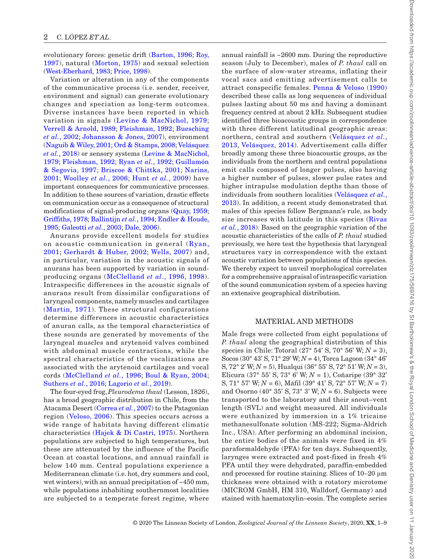evolutionary forces: genetic drift [\(Barton, 1996;](#page-6-8) [Roy,](#page-7-4) [1997\)](#page-7-4), natural ([Morton, 1975](#page-7-5)) and sexual selection [\(West-Eberhard, 1983](#page-8-3); [Price, 1998](#page-7-6)).

Variation or alteration in any of the components of the communicative process (i.e. sender, receiver, environment and signal) can generate evolutionary changes and speciation as long-term outcomes. Diverse instances have been reported in which variation in signals ([Levine & MacNichol, 1979;](#page-7-7) [Verrell & Arnold, 1989;](#page-8-2) [Fleishman, 1992;](#page-6-9) [Buesching](#page-6-10) *et al.*[, 2002;](#page-6-10) [Johansson & Jones, 2007\)](#page-7-8), environment [\(Naguib & Wiley, 2001](#page-7-9); [Ord & Stamps, 2008](#page-7-10); [Velásquez](#page-8-4) *et al.*[, 2018](#page-8-4)) or sensory systems [\(Levine & MacNichol,](#page-7-7) [1979](#page-7-7); [Fleishman, 1992;](#page-6-9) Ryan *et al.*[, 1992](#page-7-11); [Guillamón](#page-6-11) [& Segovia, 1997](#page-6-11); [Briscoe & Chittka, 2001;](#page-6-12) [Narins,](#page-7-12) [2001;](#page-7-12) [Woolley](#page-8-5) *et al.*, 2006; Hunt *et al.*[, 2009\)](#page-6-13) have important consequences for communicative processes. In addition to these sources of variation, drastic effects on communication occur as a consequence of structural modifications of signal-producing organs [\(Quay, 1959;](#page-7-13) [Griffiths, 1978;](#page-6-14) [Ballintijn](#page-6-15) *et al.*, 1994; [Endler & Houde,](#page-6-16) [1995;](#page-6-16) [Galeotti](#page-6-17) *et al.*, 2003; [Dale, 2006\)](#page-6-18).

Anurans provide excellent models for studies on acoustic communication in general ([Ryan,](#page-7-14) [2001](#page-7-14); [Gerhardt & Huber, 2002](#page-6-5); [Wells, 2007](#page-8-0)) and, in particular, variation in the acoustic signals of anurans has been supported by variation in soundproducing organs ([McClelland](#page-7-15) *et al*., 1996, [1998](#page-7-16)). Intraspecific differences in the acoustic signals of anurans result from dissimilar configurations of laryngeal components, namely muscles and cartilages ([Martin, 1971\)](#page-7-17). These structural configurations determine differences in acoustic characteristics of anuran calls, as the temporal characteristics of these sounds are generated by movements of the laryngeal muscles and arytenoid valves combined with abdominal muscle contractions, while the spectral characteristics of the vocalizations are associated with the arytenoid cartilages and vocal cords ([McClelland](#page-7-15) *et al.*, 1996; [Boul & Ryan, 2004;](#page-6-19) [Suthers](#page-7-18) *et al.*, 2016; [Lagorio](#page-7-19) *et al.*, 2019).

The four-eyed frog, *Pleurodema thaul* (Lesson, 1826), has a broad geographic distribution in Chile, from the Atacama Desert ([Correa](#page-6-20) *et al.*, 2007) to the Patagonian region ([Veloso, 2006\)](#page-8-6). This species occurs across a wide range of habitats having different climatic characteristics ([Hajek & Di Castri, 1975\)](#page-6-21). Northern populations are subjected to high temperatures, but these are attenuated by the influence of the Pacific Ocean at coastal locations, and annual rainfall is below 140 mm. Central populations experience a Mediterranean climate (i.e. hot, dry summers and cool, wet winters), with an annual precipitation of ~450 mm, while populations inhabiting southernmost localities are subjected to a temperate forest regime, where annual rainfall is ~2600 mm. During the reproductive season (July to December), males of *P. thaul* call on the surface of slow-water streams, inflating their vocal sacs and emitting advertisement calls to attract conspecific females. [Penna & Veloso \(1990\)](#page-7-20) described these calls as long sequences of individual pulses lasting about 50 ms and having a dominant frequency centred at about 2 kHz. Subsequent studies identified three bioacoustic groups in correspondence with three different latitudinal geographic areas: northern, central and southern ([Velásquez](#page-7-21) *et al.*, [2013,](#page-7-21) [Velásquez, 2014](#page-8-7)). Advertisement calls differ broadly among these three bioacoustic groups, as the individuals from the northern and central populations emit calls composed of longer pulses, also having a higher number of pulses, slower pulse rates and higher intrapulse modulation depths than those of individuals from southern localities ([Velásquez](#page-7-21) *et al.*, [2013](#page-7-21)). In addition, a recent study demonstrated that males of this species follow Bergmann's rule, as body size increases with latitude in this species ([Rivas](#page-7-22) *et al.*[, 2018](#page-7-22)). Based on the geographic variation of the acoustic characteristics of the calls of *P. thaul* studied previously, we here test the hypothesis that laryngeal structures vary in correspondence with the extant acoustic variation between populations of this species. We thereby expect to unveil morphological correlates for a comprehensive appraisal of intraspecific variation of the sound communication system of a species having an extensive geographical distribution.

#### MATERIAL AND METHODS

Male frogs were collected from eight populations of *P. thaul* along the geographical distribution of this species in Chile: Totoral (27° 54' S, 70° 56' W; *N* = 3), Socos (30° 43' S, 71° 29' W; *N* = 4), Torca Lagoon (34° 46' S, 72° 2' W; *N* = 5), Hualqui (36° 55' S, 72° 51' W; *N* = 3), Elicura (37° 55' S, 73° 6' W; *N* = 1), Coñaripe (39° 32' S, 71° 57' W; *N* = 6), Máfil (39° 41' S, 72° 57' W; *N* = 7) and Osorno  $(40^{\circ} 35' S, 73^{\circ} 3' W; N = 6)$ . Subjects were transported to the laboratory and their snout–vent length (SVL) and weight measured. All individuals were euthanized by immersion in a 1% tricaine methanesulfonate solution (MS-222; Sigma-Aldrich Inc., USA). After performing an abdominal incision, the entire bodies of the animals were fixed in 4% paraformaldehyde (PFA) for ten days. Subsequently, larynges were extracted and post-fixed in fresh 4% PFA until they were dehydrated, paraffin-embedded and processed for routine staining. Slices of 10–20 μm thickness were obtained with a rotatory microtome (MICROM GmbH, HM 310, Walldorf, Germany) and stained with haematoxylin–eosin. The complete series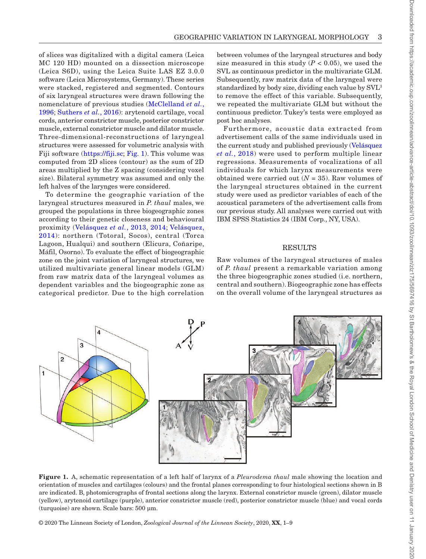of slices was digitalized with a digital camera (Leica MC 120 HD) mounted on a dissection microscope (Leica S6D), using the Leica Suite LAS EZ 3.0.0 software (Leica Microsystems, Germany). These series were stacked, registered and segmented. Contours of six laryngeal structures were drawn following the nomenclature of previous studies ([McClelland](#page-7-15) *et al.*, [1996](#page-7-15); [Suthers](#page-7-18) *et al.*, 2016): arytenoid cartilage, vocal cords, anterior constrictor muscle, posterior constrictor muscle, external constrictor muscle and dilator muscle. Three-dimensional-reconstructions of laryngeal structures were assessed for volumetric analysis with Fiji software ([https://fiji.sc;](https://fiji.sc) [Fig.](#page-2-0) 1). This volume was computed from 2D slices (contour) as the sum of 2D areas multiplied by the Z spacing (considering voxel size). Bilateral symmetry was assumed and only the left halves of the larynges were considered.

To determine the geographic variation of the laryngeal structures measured in *P. thaul* males, we grouped the populations in three biogeographic zones according to their genetic closeness and behavioural proximity ([Velásquez](#page-7-21) *et al.*, 2013, [2014](#page-7-23); [Velásquez,](#page-8-7) [2014](#page-8-7)): northern (Totoral, Socos), central (Torca Lagoon, Hualqui) and southern (Elicura, Coñaripe, Máfil, Osorno). To evaluate the effect of biogeographic zone on the joint variation of laryngeal structures, we utilized multivariate general linear models (GLM) from raw matrix data of the laryngeal volumes as dependent variables and the biogeographic zone as categorical predictor. Due to the high correlation between volumes of the laryngeal structures and body size measured in this study  $(P < 0.05)$ , we used the SVL as continuous predictor in the multivariate GLM. Subsequently, raw matrix data of the laryngeal were standardized by body size, dividing each value by SVL3 to remove the effect of this variable. Subsequently, we repeated the multivariate GLM but without the continuous predictor. Tukey's tests were employed as post hoc analyses.

Furthermore, acoustic data extracted from advertisement calls of the same individuals used in the current study and published previously [\(Velásquez](#page-8-4) *et al.*[, 2018\)](#page-8-4) were used to perform multiple linear regressions. Measurements of vocalizations of all individuals for which larynx measurements were obtained were carried out  $(N = 35)$ . Raw volumes of the laryngeal structures obtained in the current study were used as predictor variables of each of the acoustical parameters of the advertisement calls from our previous study. All analyses were carried out with IBM SPSS Statistics 24 (IBM Corp., NY, USA).

### RESULTS

Raw volumes of the laryngeal structures of males of *P. thaul* present a remarkable variation among the three biogeographic zones studied (i.e. northern, central and southern). Biogeographic zone has effects on the overall volume of the laryngeal structures as



<span id="page-2-0"></span>**Figure 1.** A, schematic representation of a left half of larynx of a *Pleurodema thaul* male showing the location and orientation of muscles and cartilages (colours) and the frontal planes corresponding to four histological sections shown in B are indicated. B, photomicrographs of frontal sections along the larynx. External constrictor muscle (green), dilator muscle (yellow), arytenoid cartilage (purple), anterior constrictor muscle (red), posterior constrictor muscle (blue) and vocal cords (turquoise) are shown. Scale bars: 500 µm.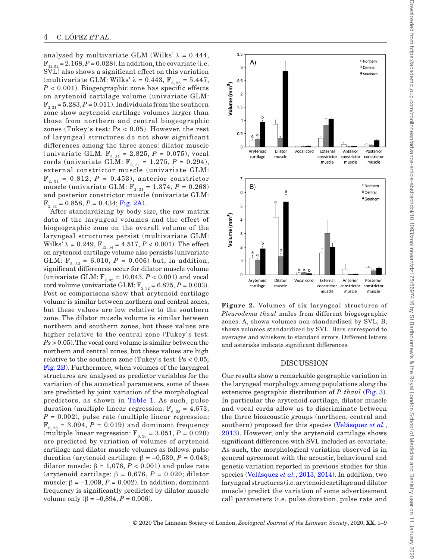analysed by multivariate GLM (Wilks'  $\lambda = 0.444$ ,  $F_{12.52} = 2.168$ ,  $P = 0.028$ ). In addition, the covariate (i.e. SVL) also shows a significant effect on this variation (multivariate GLM: Wilks'  $\lambda = 0.443$ ,  $F_{6.26} = 5.447$ ,  $P < 0.001$ ). Biogeographic zone has specific effects on arytenoid cartilage volume (univariate GLM:  $F_{2, 31} = 5.283, P = 0.011$ . Individuals from the southern zone show arytenoid cartilage volumes larger than those from northern and central biogeographic zones (Tukey`s test: Ps < 0.05). However, the rest of laryngeal structures do not show significant differences among the three zones: dilator muscle (univariate GLM: F2, 31 = 2.825, *P* = 0.075), vocal cords (univariate GLM: F2, 31 = 1.275, *P* = 0.294), external constrictor muscle (univariate GLM:  $F_{2, 31} = 0.812, P = 0.453$ , anterior constrictor muscle (univariate GLM:  $F_{2,31} = 1.374, P = 0.268$ ) and posterior constrictor muscle (univariate GLM:  $F_{2, 31} = 0.858, P = 0.434; Fig. 2A).$  $F_{2, 31} = 0.858, P = 0.434; Fig. 2A).$  $F_{2, 31} = 0.858, P = 0.434; Fig. 2A).$ 

After standardizing by body size, the raw matrix data of the laryngeal volumes and the effect of biogeographic zone on the overall volume of the laryngeal structures persist (multivariate GLM: Wilks'  $λ = 0.249$ ,  $F_{12, 54} = 4.517$ ,  $P < 0.001$ ). The effect on arytenoid cartilage volume also persists (univariate GLM:  $F_{2, 32} = 6.010, P = 0.006$  but, in addition, significant differences occur for dilator muscle volume (univariate GLM:  $F_{2,32} = 10.043, P < 0.001$ ) and vocal cord volume (univariate GLM:  $F_{2, 32} = 6.875, P = 0.003$ ). Post oc comparisons show that arytenoid cartilage volume is similar between northern and central zones, but these values are low relative to the southern zone. The dilator muscle volume is similar between northern and southern zones, but these values are higher relative to the central zone (Tukey's test: *Ps* > 0.05). The vocal cord volume is similar between the northern and central zones, but these values are high relative to the southern zone (Tukey`s test: Ps < 0.05; [Fig.](#page-3-0) 2B). Furthermore, when volumes of the laryngeal structures are analysed as predictor variables for the variation of the acoustical parameters, some of these are predicted by joint variation of the morphological predictors, as shown in [Table](#page-4-0) 1. As such, pulse duration (multiple linear regression:  $F_{6, 28} = 4.673$ ,  $P = 0.002$ , pulse rate (multiple linear regression:  $F_{6, 28} = 3.094, P = 0.019$  and dominant frequency (multiple linear regression:  $F_{6, 28} = 3.051, P = 0.020$ ) are predicted by variation of volumes of arytenoid cartilage and dilator muscle volumes as follows: pulse duration (arytenoid cartilage: β = –0,530, *P* = 0.043; dilator muscle:  $β = 1,076, P < 0.001$ ) and pulse rate (arytenoid cartilage: β = 0,676, *P* = 0.020; dilator muscle:  $\beta = -1,009, P = 0.002$ . In addition, dominant frequency is significantly predicted by dilator muscle volume only (β =  $-0,894, P = 0.006$ ).



<span id="page-3-0"></span>**Figure 2.** Volumes of six laryngeal structures of *Pleurodema thaul* males from different biogeographic zones. A, shows volumes non-standardized by SVL; B, shows volumes standardized by SVL. Bars correspond to averages and whiskers to standard errors. Different letters and asterisks indicate significant differences.

#### DISCUSSION

Our results show a remarkable geographic variation in the laryngeal morphology among populations along the extensive geographic distribution of *P. thaul* ([Fig.](#page-4-1) 3). In particular the arytenoid cartilage, dilator muscle and vocal cords allow us to discriminate between the three bioacoustic groups (northern, central and southern) proposed for this species ([Velásquez](#page-7-21) *et al.*, [2013\)](#page-7-21). However, only the arytenoid cartilage shows significant differences with SVL included as covariate. As such, the morphological variation observed is in general agreement with the acoustic, behavioural and genetic variation reported in previous studies for this species [\(Velásquez](#page-7-21) *et al.*, 2013, [2014\)](#page-7-23). In addition, two laryngeal structures (i.e. arytenoid cartilage and dilator muscle) predict the variation of some advertisement call parameters (i.e. pulse duration, pulse rate and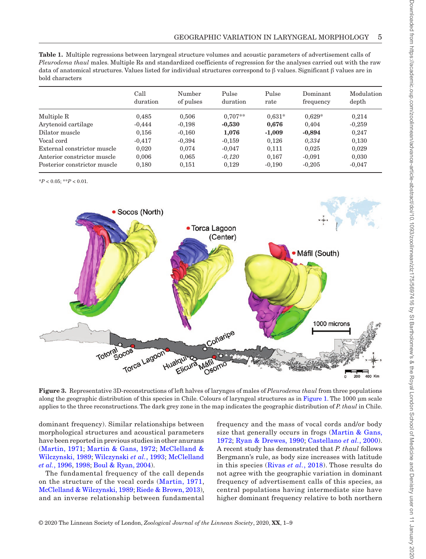<span id="page-4-0"></span>

| <b>Table 1.</b> Multiple regressions between laryngeal structure volumes and acoustic parameters of advertisement calls of       |
|----------------------------------------------------------------------------------------------------------------------------------|
| <i>Pleurodema thaul</i> males. Multiple Rs and standardized coefficients of regression for the analyses carried out with the raw |
| data of anatomical structures. Values listed for individual structures correspond to 6 values. Significant 6 values are in       |
| bold characters                                                                                                                  |

|                              | Call<br>duration | Number<br>of pulses | Pulse<br>duration | Pulse<br>rate | Dominant<br>frequency | Modulation<br>depth |
|------------------------------|------------------|---------------------|-------------------|---------------|-----------------------|---------------------|
| Multiple R                   | 0.485            | 0.506               | $0.707**$         | $0.631*$      | $0.629*$              | 0.214               |
| Arytenoid cartilage          | $-0.444$         | $-0,198$            | $-0,530$          | 0.676         | 0.404                 | $-0,259$            |
| Dilator muscle               | 0,156            | $-0,160$            | 1,076             | $-1,009$      | $-0,894$              | 0.247               |
| Vocal cord                   | $-0.417$         | $-0.394$            | $-0,159$          | 0,126         | 0,334                 | 0,130               |
| External constrictor muscle  | 0,020            | 0.074               | $-0.047$          | 0,111         | 0,025                 | 0,029               |
| Anterior constrictor muscle  | 0.006            | 0.065               | $-0.120$          | 0.167         | $-0.091$              | 0,030               |
| Posterior constrictor muscle | 0,180            | 0,151               | 0,129             | $-0,190$      | $-0,205$              | $-0.047$            |

 $*P < 0.05$ ;  $*P < 0.01$ .



<span id="page-4-1"></span>**Figure 3.** Representative 3D-reconstructions of left halves of larynges of males of *Pleurodema thaul* from three populations along the geographic distribution of this species in Chile. Colours of laryngeal structures as in [Figure](#page-2-0) 1. The 1000 um scale applies to the three reconstructions. The dark grey zone in the map indicates the geographic distribution of *P. thaul* in Chile.

dominant frequency). Similar relationships between morphological structures and acoustical parameters have been reported in previous studies in other anurans ([Martin, 1971](#page-7-17); [Martin & Gans, 1972;](#page-7-24) [McClelland &](#page-7-25) [Wilczynski, 1989;](#page-7-25) [Wilczynski](#page-8-8) *et al.*, 1993; [McClelland](#page-7-15) *et al.*[, 1996,](#page-7-15) [1998;](#page-7-16) [Boul & Ryan, 2004](#page-6-19)).

The fundamental frequency of the call depends on the structure of the vocal cords ([Martin, 1971](#page-7-17), [McClelland & Wilczynski, 1989](#page-7-25); [Riede & Brown, 2013\)](#page-7-26), and an inverse relationship between fundamental

frequency and the mass of vocal cords and/or body size that generally occurs in frogs (Martin  $\&$  Gans, [1972](#page-7-24); [Ryan & Drewes, 1990](#page-7-27); [Castellano](#page-6-22) *et al.*, 2000). A recent study has demonstrated that *P. thaul* follows Bergmann's rule, as body size increases with latitude in this species ([Rivas](#page-7-22) *et al.*, 2018). Those results do not agree with the geographic variation in dominant frequency of advertisement calls of this species, as central populations having intermediate size have higher dominant frequency relative to both northern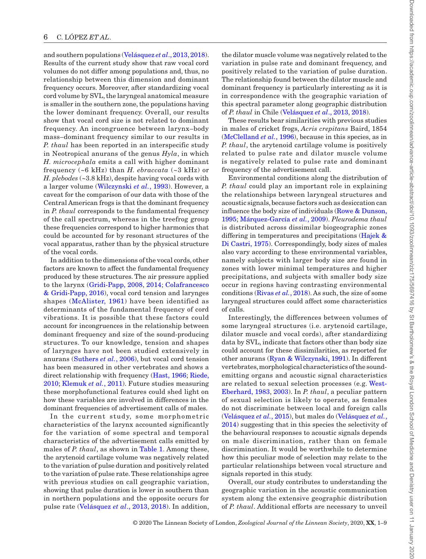and southern populations [\(Velásquez](#page-7-21) *et al*., 2013, [2018\)](#page-8-4). Results of the current study show that raw vocal cord volumes do not differ among populations and, thus, no relationship between this dimension and dominant frequency occurs. Moreover, after standardizing vocal cord volume by SVL, the laryngeal anatomical measure is smaller in the southern zone, the populations having the lower dominant frequency. Overall, our results show that vocal cord size is not related to dominant frequency. An incongruence between larynx–body mass–dominant frequency similar to our results in *P. thaul* has been reported in an interspecific study in Neotropical anurans of the genus *Hyla*, in which *H. microcephala* emits a call with higher dominant frequency (~6 kHz) than *H. ebraccata* (~3 kHz) or *H. plebodes* (~3.8 kHz), despite having vocal cords with a larger volume ([Wilczynski](#page-8-8) *et al.*, 1993). However, a caveat for the comparison of our data with those of the Central American frogs is that the dominant frequency in *P. thaul* corresponds to the fundamental frequency of the call spectrum, whereas in the treefrog group these frequencies correspond to higher harmonics that could be accounted for by resonant structures of the vocal apparatus, rather than by the physical structure of the vocal cords.

In addition to the dimensions of the vocal cords, other factors are known to affect the fundamental frequency produced by these structures. The air pressure applied to the larynx ([Gridi-Papp, 2008](#page-6-23), [2014;](#page-6-24) [Colafrancesco](#page-6-25) [& Gridi-Papp, 2016\)](#page-6-25), vocal cord tension and larynges shapes ([McAlister, 1961](#page-7-28)) have been identified as determinants of the fundamental frequency of cord vibrations. It is possible that these factors could account for incongruences in the relationship between dominant frequency and size of the sound-producing structures. To our knowledge, tension and shapes of larynges have not been studied extensively in anurans [\(Suthers](#page-7-29) *et al.*, 2006), but vocal cord tension has been measured in other vertebrates and shows a direct relationship with frequency ([Hast, 1966;](#page-6-26) [Riede,](#page-7-30) [2010;](#page-7-30) [Klemuk](#page-7-31) *et al.*, 2011). Future studies measuring these morphofunctional features could shed light on how these variables are involved in differences in the dominant frequencies of advertisement calls of males.

In the current study, some morphometric characteristics of the larynx accounted significantly for the variation of some spectral and temporal characteristics of the advertisement calls emitted by males of *P. thaul*, as shown in [Table](#page-4-0) 1. Among these, the arytenoid cartilage volume was negatively related to the variation of pulse duration and positively related to the variation of pulse rate. These relationships agree with previous studies on call geographic variation, showing that pulse duration is lower in southern than in northern populations and the opposite occurs for pulse rate [\(Velásquez](#page-7-21) *et al*., 2013, [2018](#page-8-4)). In addition, the dilator muscle volume was negatively related to the variation in pulse rate and dominant frequency, and positively related to the variation of pulse duration. The relationship found between the dilator muscle and dominant frequency is particularly interesting as it is in correspondence with the geographic variation of this spectral parameter along geographic distribution of *P. thaul* in Chile [\(Velásquez](#page-7-21) *et al*., 2013, [2018](#page-8-4)).

These results bear similarities with previous studies in males of cricket frogs, *Acris crepitans* Baird, 1854 [\(McClelland](#page-7-15) *et al.*, 1996), because in this species, as in *P. thaul*, the arytenoid cartilage volume is positively related to pulse rate and dilator muscle volume is negatively related to pulse rate and dominant frequency of the advertisement call.

Environmental conditions along the distribution of *P. thaul* could play an important role in explaining the relationships between laryngeal structures and acoustic signals, because factors such as desiccation can influence the body size of individuals ([Rowe & Dunson,](#page-7-32) [1995;](#page-7-32) [Márquez-García](#page-7-33) *et al.*, 2009). *Pleurodema thaul* is distributed across dissimilar biogeographic zones differing in temperatures and precipitations ([Hajek &](#page-6-21)  [Di Castri, 1975\)](#page-6-21). Correspondingly, body sizes of males also vary according to these environmental variables, namely subjects with larger body size are found in zones with lower minimal temperatures and higher precipitations, and subjects with smaller body size occur in regions having contrasting environmental conditions ([Rivas](#page-7-22) *et al.*, 2018). As such, the size of some laryngeal structures could affect some characteristics of calls.

Interestingly, the differences between volumes of some laryngeal structures (i.e. arytenoid cartilage, dilator muscle and vocal cords), after standardizing data by SVL, indicate that factors other than body size could account for these dissimilarities, as reported for other anurans ([Ryan & Wilczynski, 1991\)](#page-7-2). In different vertebrates, morphological characteristics of the soundemitting organs and acoustic signal characteristics are related to sexual selection processes (e.g. [West-](#page-8-3)[Eberhard, 1983](#page-8-3), [2003](#page-8-9)). In *P. thaul*, a peculiar pattern of sexual selection is likely to operate, as females do not discriminate between local and foreign calls [\(Velásquez](#page-8-10) *et al.*, 2015), but males do ([Velásquez](#page-8-7) *et al.*, [2014\)](#page-8-7) suggesting that in this species the selectivity of the behavioural responses to acoustic signals depends on male discrimination, rather than on female discrimination. It would be worthwhile to determine how this peculiar mode of selection may relate to the particular relationships between vocal structure and signals reported in this study.

Overall, our study contributes to understanding the geographic variation in the acoustic communication system along the extensive geographic distribution of *P. thaul*. Additional efforts are necessary to unveil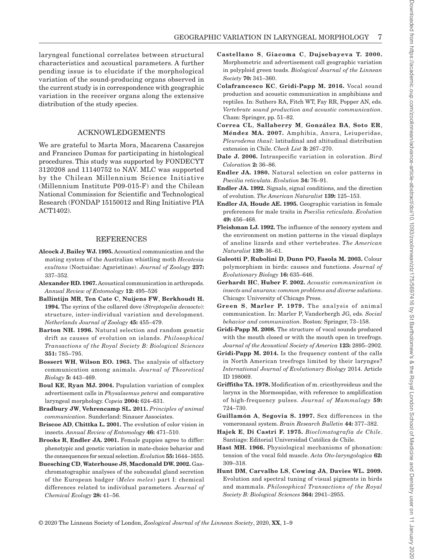laryngeal functional correlates between structural characteristics and acoustical parameters. A further pending issue is to elucidate if the morphological variation of the sound-producing organs observed in the current study is in correspondence with geographic variation in the receiver organs along the extensive distribution of the study species.

# ACKNOWLEDGEMENTS

We are grateful to Marta Mora, Macarena Casarejos and Francisco Dumas for participating in histological procedures. This study was supported by FONDECYT 3120208 and 11140752 to NAV. MLC was supported by the Chilean Millennium Science Initiative (Millennium Institute P09-015-F) and the Chilean National Commission for Scientific and Technological Research (FONDAP 15150012 and Ring Initiative PIA ACT1402).

#### REFERENCES

- <span id="page-6-4"></span>**Alcock J**, **Bailey WJ. 1995.** Acoustical communication and the mating system of the Australian whistling moth *Hecatesia exultans* (Noctuidae: Agaristinae). *Journal of Zoology* **237:**  337–352.
- <span id="page-6-3"></span>**Alexander RD. 1967.** Acoustical communication in arthropods. *Annual Review of Entomology* **12:** 495–526
- <span id="page-6-15"></span>**Ballintijn MR**, **Ten Cate C**, **Nuijens FW**, **Berkhoudt H. 1994.** The syrinx of the collared dove (*Streptopelia decaocto*): structure, inter-individual variation and development. *Netherlands Journal of Zoology* **45:** 455–479.
- <span id="page-6-8"></span>**Barton NH. 1996.** Natural selection and random genetic drift as causes of evolution on islands. *Philosophical Transactions of the Royal Society B: Biological Sciences* **351:** 785–795.
- <span id="page-6-2"></span>**Bossert WH**, **Wilson EO. 1963.** The analysis of olfactory communication among animals. *Journal of Theoretical Biology* **5:** 443–469.
- <span id="page-6-19"></span>**Boul KE**, **Ryan MJ. 2004.** Population variation of complex advertisement calls in *Physalaemus petersi* and comparative laryngeal morphology. *Copeia* **2004:** 624–631.
- <span id="page-6-1"></span>**Bradbury JW**, **Vehrencamp SL. 2011.** *Principles of animal communication*. Sunderland: Sinauer Associates.
- <span id="page-6-12"></span>**Briscoe AD**, **Chittka L. 2001.** The evolution of color vision in insects. *Annual Review of Entomology* **46:** 471–510.
- <span id="page-6-7"></span>**Brooks R**, **Endler JA. 2001.** Female guppies agree to differ: phenotypic and genetic variation in mate-choice behavior and the consequences for sexual selection. *Evolution* **55:** 1644–1655.
- <span id="page-6-10"></span>**Buesching CD**, **Waterhouse JS**, **Macdonald DW. 2002.** Gaschromatographic analyses of the subcaudal gland secretion of the European badger (*Meles meles*) part I: chemical differences related to individual parameters. *Journal of Chemical Ecology* **28:** 41–56.
- <span id="page-6-22"></span>**Castellano S**, **Giacoma C**, **Dujsebayeva T. 2000.**  Morphometric and advertisement call geographic variation in polyploid green toads. *Biological Journal of the Linnean Society* **70:** 341–360.
- <span id="page-6-25"></span>**Colafrancesco KC**, **Gridi-Papp M. 2016.** Vocal sound production and acoustic communication in amphibians and reptiles. In: Suthers RA, Fitch WT, Fay RR, Popper AN, eds. *Vertebrate sound production and acoustic communication*. Cham: Springer, pp. 51–82.
- <span id="page-6-20"></span>**Correa CL**, **Sallaberry M**, **González BA**, **Soto ER**, **Méndez MA. 2007.** Amphibia, Anura, Leiuperidae, *Pleurodema thaul*: latitudinal and altitudinal distribution extension in Chile. *Check List* **3:** 267–270.
- <span id="page-6-18"></span>**Dale J. 2006.** Intraspecific variation in coloration. *Bird Coloration* **2:** 36–86.
- <span id="page-6-6"></span>**Endler JA. 1980.** Natural selection on color patterns in *Poecilia reticulata*. *Evolution* **34:** 76–91.
- **Endler JA. 1992.** Signals, signal conditions, and the direction of evolution. *The American Naturalist* **139:** 125–153.
- <span id="page-6-16"></span>**Endler JA**, **Houde AE. 1995.** Geographic variation in female preferences for male traits in *Poecilia reticulata*. *Evolution* **49:** 456–468.
- <span id="page-6-9"></span>**Fleishman LJ. 1992.** The influence of the sensory system and the environment on motion patterns in the visual displays of anoline lizards and other vertebrates. *The American Naturalist* **139:** 36–61.
- <span id="page-6-17"></span>**Galeotti P**, **Rubolini D**, **Dunn PO**, **Fasola M. 2003.** Colour polymorphism in birds: causes and functions. *Journal of Evolutionary Biology* **16:** 635–646.
- <span id="page-6-5"></span>**Gerhardt HC**, **Huber F. 2002.** *Acoustic communication in insects and anurans: common problems and diverse solutions*. Chicago: University of Chicago Press.
- <span id="page-6-0"></span>**Green S**, **Marler P. 1979.** The analysis of animal communication. In: Marler P, Vanderbergh JG, eds. *Social behavior and communication*. Boston: Springer, 73–158.
- <span id="page-6-23"></span>**Gridi-Papp M. 2008.** The structure of vocal sounds produced with the mouth closed or with the mouth open in treefrogs. *Journal of the Acoustical Society of America* **123:** 2895–2902.
- <span id="page-6-24"></span>**Gridi-Papp M. 2014.** Is the frequency content of the calls in North American treefrogs limited by their larynges? *International Journal of Evolutionary Biology* 2014. Article ID 198069.
- <span id="page-6-14"></span>**Griffiths TA. 1978.** Modification of m. cricothyroideus and the larynx in the Mormoopidae, with reference to amplification of high-frequency pulses. *Journal of Mammalogy* **59:**  724–730.
- <span id="page-6-11"></span>**Guillamón A**, **Segovia S. 1997.** Sex differences in the vomeronasal system. *Brain Research Bulletin* **44:** 377–382.
- <span id="page-6-21"></span>**Hajek E**, **Di Castri F. 1975.** *Bioclimatografía de Chile*. Santiago: Editorial Universidad Católica de Chile.
- <span id="page-6-26"></span>**Hast MH. 1966.** Physiological mechanisms of phonation: tension of the vocal fold muscle. *Acta Oto-laryngologica* **62:**  309–318.
- <span id="page-6-13"></span>**Hunt DM**, **Carvalho LS**, **Cowing JA**, **Davies WL. 2009.**  Evolution and spectral tuning of visual pigments in birds and mammals. *Philosophical Transactions of the Royal Society B: Biological Sciences* **364:** 2941–2955.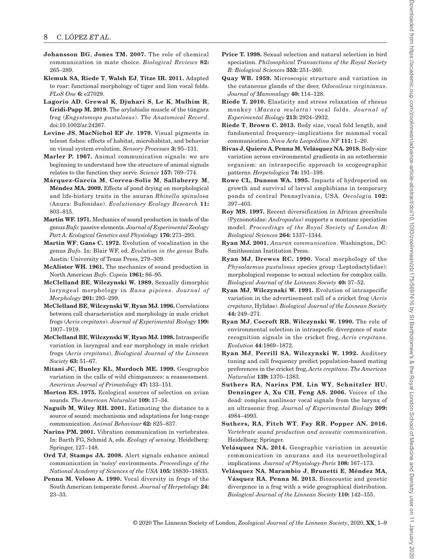- <span id="page-7-8"></span>**Johansson BG**, **Jones TM. 2007.** The role of chemical communication in mate choice. *Biological Reviews* **82:**  265–289.
- <span id="page-7-31"></span>**Klemuk SA**, **Riede T**, **Walsh EJ**, **Titze IR. 2011.** Adapted to roar: functional morphology of tiger and lion vocal folds. *PLoS One* **6:** e27029.
- <span id="page-7-19"></span>**Lagorio AD**, **Grewal K**, **Djuhari S**, **Le K**, **Mulhim R**, **Gridi-Papp M. 2019.** The arylabialis muscle of the túngara frog (*Engystomops pustulosus*). *The Anatomical Record*. doi:10.1002/ar.24267.
- <span id="page-7-7"></span>**Levine JS**, **MacNichol EF Jr**. **1979.** Visual pigments in teleost fishes: effects of habitat, microhabitat, and behavior on visual system evolution. *Sensory Processes* **3:** 95–131.
- <span id="page-7-0"></span>**Marler P. 1967.** Animal communication signals: we are beginning to understand how the structure of animal signals relates to the function they serve. *Science* **157:** 769–774.
- <span id="page-7-33"></span>**Márquez-García M**, **Correa-Solis M**, **Sallaberry M**, **Méndez MA. 2009.** Effects of pond drying on morphological and life-history traits in the anuran *Rhinella spinulosa* (Anura: Bufonidae). *Evolutionary Ecology Research* **11:**  803–815.
- <span id="page-7-17"></span>**Martin WF. 1971.** Mechanics of sound production in toads of the genus *Bufo*: passive elements. *Journal of Experimental Zoology Part A: Ecological Genetics and Physiology* **176:** 273–293.
- <span id="page-7-24"></span>**Martin WF**, **Gans C. 1972.** Evolution of vocalization in the genus *Bufo*. In: Blair WF, ed. *Evolution in the genus* Bufo. Austin: University of Texas Press, 279–309.
- <span id="page-7-28"></span>**McAlister WH. 1961.** The mechanics of sound production in North American *Bufo*. *Copeia* **1961:** 86–95.
- <span id="page-7-25"></span>**McClelland BE**, **Wilczynski W. 1989.** Sexually dimorphic laryngeal morphology in *Rana pipiens*. *Journal of Morphology* **201:** 293–299.
- <span id="page-7-15"></span>**McClelland BE**, **Wilczynski W**, **Ryan MJ. 1996.** Correlations between call characteristics and morphology in male cricket frogs (*Acris crepitans*). *Journal of Experimental Biology* **199:**  1907–1919.
- <span id="page-7-16"></span>**McClelland BE**, **Wilczynski W**, **Ryan MJ. 1998.** Intraspecific variation in laryngeal and ear morphology in male cricket frogs (*Acris crepitans*). *Biological Journal of the Linnean Society* **63:** 51–67.
- <span id="page-7-3"></span>**Mitani JC**, **Hunley KL**, **Murdoch ME. 1999.** Geographic variation in the calls of wild chimpanzees: a reassessment. *American Journal of Primatology* **47:** 133–151.
- <span id="page-7-5"></span>**Morton ES. 1975.** Ecological sources of selection on avian sounds. *The American Naturalist* **109:** 17–34.
- <span id="page-7-9"></span>**Naguib M**, **Wiley RH. 2001.** Estimating the distance to a source of sound: mechanisms and adaptations for long-range communication. *Animal Behaviour* **62:** 825–837.
- <span id="page-7-12"></span>**Narins PM. 2001.** Vibration communication in vertebrates. In: Barth FG, Schmid A, eds. *Ecology of sensing*. Heidelberg: Springer, 127–148.
- <span id="page-7-10"></span>**Ord TJ**, **Stamps JA. 2008.** Alert signals enhance animal communication in 'noisy' environments. *Proceedings of the National Academy of Sciences of the USA* **105:** 18830–18835.
- <span id="page-7-20"></span>**Penna M**, **Veloso A. 1990.** Vocal diversity in frogs of the South American temperate forest. *Journal of Herpetology* **24:**  23–33.
- <span id="page-7-6"></span>**Price T. 1998.** Sexual selection and natural selection in bird speciation. *Philosophical Transactions of the Royal Society B: Biological Sciences* **353:** 251–260.
- <span id="page-7-13"></span>**Quay WB. 1959.** Microscopic structure and variation in the cutaneous glands of the deer, *Odocoileus virginianus*. *Journal of Mammalogy* **40:** 114–128.
- <span id="page-7-30"></span>**Riede T. 2010.** Elasticity and stress relaxation of rhesus monkey (*Macaca mulatta*) vocal folds. *Journal of Experimental Biology* **213:** 2924–2932.
- <span id="page-7-26"></span>**Riede T**, **Brown C. 2013.** Body size, vocal fold length, and fundamental frequency–implications for mammal vocal communication. *Nova Acta Leopoldina NF* **111:** 1–20.
- <span id="page-7-22"></span>**Rivas J**, **Quiero A**, **Penna M**, **Velásquez NA. 2018.** Body-size variation across environmental gradients in an ectothermic organism: an intraspecific approach to ecogeographic patterns. *Herpetologica* **74:** 191–198.
- <span id="page-7-32"></span>**Rowe CL**, **Dunson WA. 1995.** Impacts of hydroperiod on growth and survival of larval amphibians in temporary ponds of central Pennsylvania, USA. *Oecologia* **102:**  397–403.
- <span id="page-7-4"></span>**Roy MS. 1997.** Recent diversification in African greenbuls (Pycnonotidae: *Andropadus*) supports a montane speciation model. *Proceedings of the Royal Society of London B: Biological Sciences* **264:** 1337–1344.
- <span id="page-7-14"></span>**Ryan MJ. 2001.** *Anuran communication*. Washington, DC: Smithsonian Institution Press.
- <span id="page-7-27"></span>**Ryan MJ**, **Drewes RC. 1990.** Vocal morphology of the *Physalaemus pustulosus* species group (Leptodactylidae): morphological response to sexual selection for complex calls. *Biological Journal of the Linnean Society* **40:** 37–52.
- <span id="page-7-2"></span>**Ryan MJ**, **Wilczynski W. 1991.** Evolution of intraspecific variation in the advertisement call of a cricket frog (*Acris crepitans*, Hylidae). *Biological Journal of the Linnean Society* **44:** 249–271.
- <span id="page-7-1"></span>**Ryan MJ**, **Cocroft RB**, **Wilczynski W. 1990.** The role of environmental selection in intraspecfic divergence of mate recognition signals in the cricket frog, *Acris crepitans*. *Evolution* **44**:1869–1872.
- <span id="page-7-11"></span>**Ryan MJ**, **Perrill SA**, **Wilczynski W. 1992.** Auditory tuning and call frequency predict population-based mating preferences in the cricket frog, *Acris crepitans*. *The American Naturalist* **139:** 1370–1383.
- <span id="page-7-29"></span>**Suthers RA**, **Narins PM**, **Lin WY**, **Schnitzler HU**, **Denzinger A**, **Xu CH**, **Feng AS. 2006.** Voices of the dead: complex nonlinear vocal signals from the larynx of an ultrasonic frog. *Journal of Experimental Biology* **209:**  4984–4993.
- <span id="page-7-18"></span>**Suthers, RA**, **Fitch WT**, **Fay RR**, **Popper AN. 2016.**  *Vertebrate sound production and acoustic communication*. Heidelberg: Springer.
- <span id="page-7-23"></span>**Velásquez NA. 2014.** Geographic variation in acoustic communication in anurans and its neuroethological implications. *Journal of Physiology-Paris* **108:** 167–173.
- <span id="page-7-21"></span>**Velásquez NA**, **Marambio J**, **Brunetti E**, **Méndez MA**, **Vásquez RA**, **Penna M. 2013.** Bioacoustic and genetic divergence in a frog with a wide geographical distribution. *Biological Journal of the Linnean Society* **110:** 142–155.